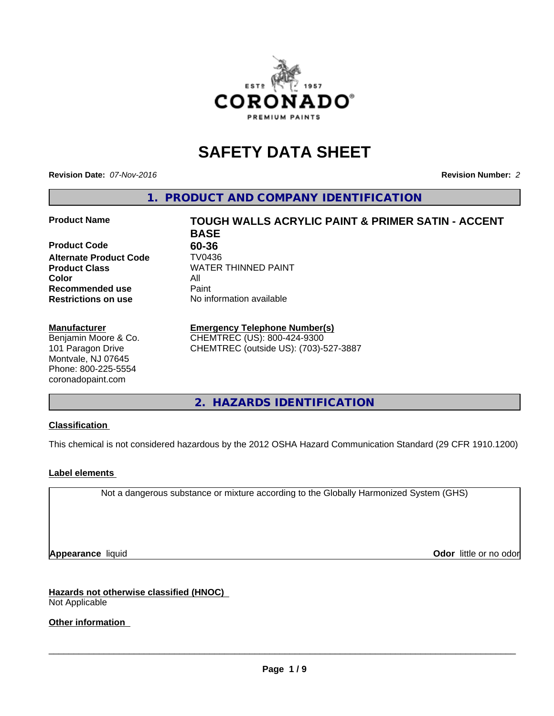

# **SAFETY DATA SHEET**

**Revision Date:** *07-Nov-2016* **Revision Number:** *2*

**1. PRODUCT AND COMPANY IDENTIFICATION**

#### **Product Name TOUGH WALLS ACRYLIC PAINT & PRIMER SATIN - ACCENT**

**Product Code 60-36 Alternate Product Code TV0436**<br>**Product Class** WATER **Color** All **Recommended use** Paint<br> **Restrictions on use** No inf

#### **Manufacturer**

Benjamin Moore & Co. 101 Paragon Drive Montvale, NJ 07645 Phone: 800-225-5554 coronadopaint.com

**BASE Product Class** WATER THINNED PAINT<br>
Color **No information available** 

## **Emergency Telephone Number(s)**

CHEMTREC (US): 800-424-9300 CHEMTREC (outside US): (703)-527-3887

**2. HAZARDS IDENTIFICATION**

#### **Classification**

This chemical is not considered hazardous by the 2012 OSHA Hazard Communication Standard (29 CFR 1910.1200)

#### **Label elements**

Not a dangerous substance or mixture according to the Globally Harmonized System (GHS)

**Appearance** liquid **Odor in the original of the original of the original of the original of the original of the original of the original of the original of the original of the original of the original of the original of t** 

**Hazards not otherwise classified (HNOC)** Not Applicable

**Other information**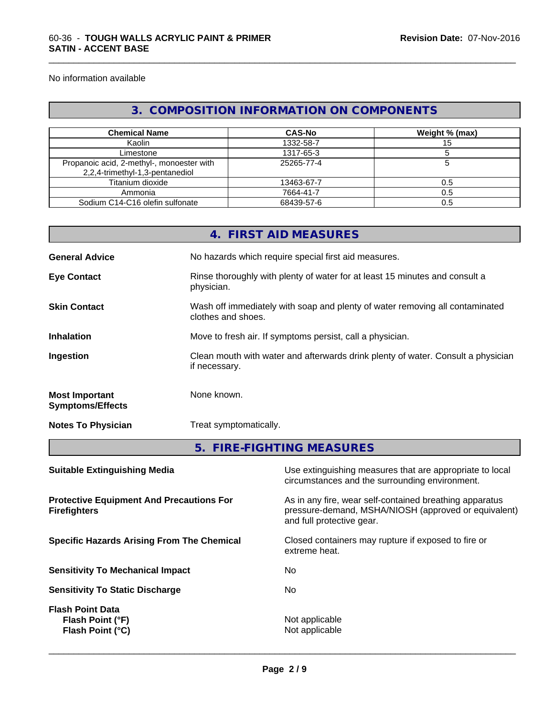No information available

## **3. COMPOSITION INFORMATION ON COMPONENTS**

\_\_\_\_\_\_\_\_\_\_\_\_\_\_\_\_\_\_\_\_\_\_\_\_\_\_\_\_\_\_\_\_\_\_\_\_\_\_\_\_\_\_\_\_\_\_\_\_\_\_\_\_\_\_\_\_\_\_\_\_\_\_\_\_\_\_\_\_\_\_\_\_\_\_\_\_\_\_\_\_\_\_\_\_\_\_\_\_\_\_\_\_\_

| <b>Chemical Name</b>                                                         | <b>CAS-No</b> | Weight % (max) |
|------------------------------------------------------------------------------|---------------|----------------|
| Kaolin                                                                       | 1332-58-7     |                |
| Limestone                                                                    | 1317-65-3     |                |
| Propanoic acid, 2-methyl-, monoester with<br>2,2,4-trimethyl-1,3-pentanediol | 25265-77-4    |                |
| Titanium dioxide                                                             | 13463-67-7    | 0.5            |
| Ammonia                                                                      | 7664-41-7     | 0.5            |
| Sodium C14-C16 olefin sulfonate                                              | 68439-57-6    | 0.5            |

|                                                                        |                    | 4. FIRST AID MEASURES                                                                                           |  |  |
|------------------------------------------------------------------------|--------------------|-----------------------------------------------------------------------------------------------------------------|--|--|
| <b>General Advice</b>                                                  |                    | No hazards which require special first aid measures.                                                            |  |  |
| <b>Eye Contact</b>                                                     | physician.         | Rinse thoroughly with plenty of water for at least 15 minutes and consult a                                     |  |  |
| <b>Skin Contact</b>                                                    | clothes and shoes. | Wash off immediately with soap and plenty of water removing all contaminated                                    |  |  |
| <b>Inhalation</b>                                                      |                    | Move to fresh air. If symptoms persist, call a physician.                                                       |  |  |
| Ingestion                                                              | if necessary.      | Clean mouth with water and afterwards drink plenty of water. Consult a physician                                |  |  |
| <b>Most Important</b><br><b>Symptoms/Effects</b>                       | None known.        |                                                                                                                 |  |  |
| <b>Notes To Physician</b>                                              |                    | Treat symptomatically.                                                                                          |  |  |
|                                                                        |                    | 5. FIRE-FIGHTING MEASURES                                                                                       |  |  |
| <b>Suitable Extinguishing Media</b>                                    |                    | Use extinguishing measures that are appropriate to local<br>circumstances and the surrounding environment.      |  |  |
| <b>Protective Equipment And Precautions For</b><br><b>Firefighters</b> |                    | As in any fire, wear self-contained breathing apparatus<br>pressure-demand, MSHA/NIOSH (approved or equivalent) |  |  |

**Specific Hazards Arising From The Chemical Closed containers may rupture if exposed to fire or** 

**Sensitivity To Mechanical Impact** No

**Sensitivity To Static Discharge** No

**Flash Point Data Flash Point (°F)**  $\qquad \qquad$  Not applicable **Flash Point (°C)**  $\qquad \qquad$  Not applicable

 $\overline{\phantom{a}}$  ,  $\overline{\phantom{a}}$  ,  $\overline{\phantom{a}}$  ,  $\overline{\phantom{a}}$  ,  $\overline{\phantom{a}}$  ,  $\overline{\phantom{a}}$  ,  $\overline{\phantom{a}}$  ,  $\overline{\phantom{a}}$  ,  $\overline{\phantom{a}}$  ,  $\overline{\phantom{a}}$  ,  $\overline{\phantom{a}}$  ,  $\overline{\phantom{a}}$  ,  $\overline{\phantom{a}}$  ,  $\overline{\phantom{a}}$  ,  $\overline{\phantom{a}}$  ,  $\overline{\phantom{a}}$ 

and full protective gear.

extreme heat.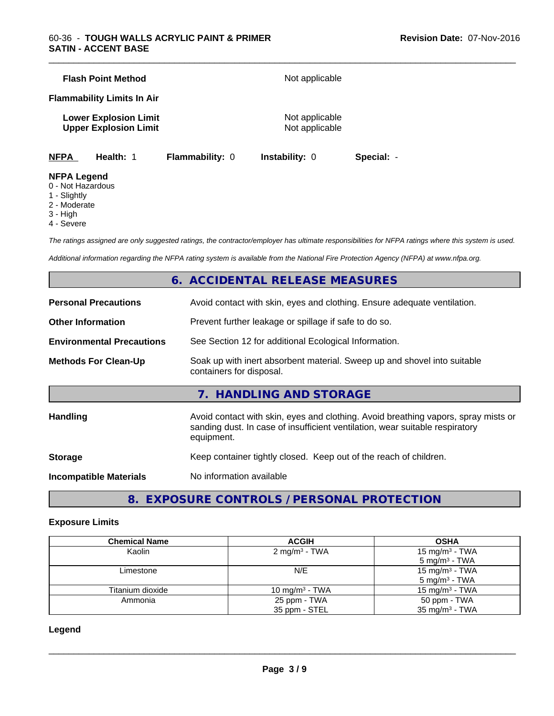|             | <b>Flash Point Method</b>                                    |                        | Not applicable                   |            |  |
|-------------|--------------------------------------------------------------|------------------------|----------------------------------|------------|--|
|             | <b>Flammability Limits In Air</b>                            |                        |                                  |            |  |
|             | <b>Lower Explosion Limit</b><br><b>Upper Explosion Limit</b> |                        | Not applicable<br>Not applicable |            |  |
| <b>NFPA</b> | Health: 1                                                    | <b>Flammability: 0</b> | <b>Instability: 0</b>            | Special: - |  |

## **NFPA Legend**

- 0 Not Hazardous
- 1 Slightly
- 2 Moderate
- 3 High
- 4 Severe

*The ratings assigned are only suggested ratings, the contractor/employer has ultimate responsibilities for NFPA ratings where this system is used.*

\_\_\_\_\_\_\_\_\_\_\_\_\_\_\_\_\_\_\_\_\_\_\_\_\_\_\_\_\_\_\_\_\_\_\_\_\_\_\_\_\_\_\_\_\_\_\_\_\_\_\_\_\_\_\_\_\_\_\_\_\_\_\_\_\_\_\_\_\_\_\_\_\_\_\_\_\_\_\_\_\_\_\_\_\_\_\_\_\_\_\_\_\_

*Additional information regarding the NFPA rating system is available from the National Fire Protection Agency (NFPA) at www.nfpa.org.*

## **6. ACCIDENTAL RELEASE MEASURES**

| <b>Personal Precautions</b>      | Avoid contact with skin, eyes and clothing. Ensure adequate ventilation.                                                                                                         |
|----------------------------------|----------------------------------------------------------------------------------------------------------------------------------------------------------------------------------|
| <b>Other Information</b>         | Prevent further leakage or spillage if safe to do so.                                                                                                                            |
| <b>Environmental Precautions</b> | See Section 12 for additional Ecological Information.                                                                                                                            |
| <b>Methods For Clean-Up</b>      | Soak up with inert absorbent material. Sweep up and shovel into suitable<br>containers for disposal.                                                                             |
|                                  | 7. HANDLING AND STORAGE                                                                                                                                                          |
| <b>Handling</b>                  | Avoid contact with skin, eyes and clothing. Avoid breathing vapors, spray mists or<br>sanding dust. In case of insufficient ventilation, wear suitable respiratory<br>equipment. |
| <b>Storage</b>                   | Keep container tightly closed. Keep out of the reach of children.                                                                                                                |
| <b>Incompatible Materials</b>    | No information available                                                                                                                                                         |
|                                  |                                                                                                                                                                                  |

**8. EXPOSURE CONTROLS / PERSONAL PROTECTION**

#### **Exposure Limits**

| <b>Chemical Name</b> | <b>ACGIH</b>              | <b>OSHA</b>                |
|----------------------|---------------------------|----------------------------|
| Kaolin               | 2 mg/m <sup>3</sup> - TWA | 15 mg/m <sup>3</sup> - TWA |
|                      |                           | $5 \text{ mg/m}^3$ - TWA   |
| Limestone            | N/E                       | 15 mg/m <sup>3</sup> - TWA |
|                      |                           | $5 \text{ mg/m}^3$ - TWA   |
| Titanium dioxide     | 10 mg/m $3$ - TWA         | $15 \text{ mg/m}^3$ - TWA  |
| Ammonia              | 25 ppm - TWA              | 50 ppm - TWA               |
|                      | 35 ppm - STEL             | $35 \text{ mg/m}^3$ - TWA  |

#### **Legend**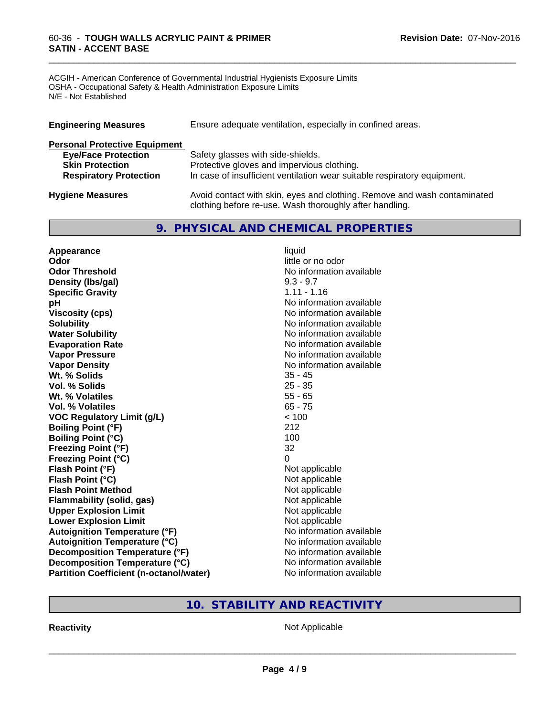#### 60-36 - **TOUGH WALLS ACRYLIC PAINT & PRIMER SATIN - ACCENT BASE**

ACGIH - American Conference of Governmental Industrial Hygienists Exposure Limits OSHA - Occupational Safety & Health Administration Exposure Limits N/E - Not Established

| <b>Engineering Measures</b>          | Ensure adequate ventilation, especially in confined areas.                                                                          |
|--------------------------------------|-------------------------------------------------------------------------------------------------------------------------------------|
| <b>Personal Protective Equipment</b> |                                                                                                                                     |
| <b>Eye/Face Protection</b>           | Safety glasses with side-shields.                                                                                                   |
| <b>Skin Protection</b>               | Protective gloves and impervious clothing.                                                                                          |
| <b>Respiratory Protection</b>        | In case of insufficient ventilation wear suitable respiratory equipment.                                                            |
| <b>Hygiene Measures</b>              | Avoid contact with skin, eyes and clothing. Remove and wash contaminated<br>clothing before re-use. Wash thoroughly after handling. |

\_\_\_\_\_\_\_\_\_\_\_\_\_\_\_\_\_\_\_\_\_\_\_\_\_\_\_\_\_\_\_\_\_\_\_\_\_\_\_\_\_\_\_\_\_\_\_\_\_\_\_\_\_\_\_\_\_\_\_\_\_\_\_\_\_\_\_\_\_\_\_\_\_\_\_\_\_\_\_\_\_\_\_\_\_\_\_\_\_\_\_\_\_

## **9. PHYSICAL AND CHEMICAL PROPERTIES**

| Appearance                                     | liquid                   |
|------------------------------------------------|--------------------------|
| Odor                                           | little or no odor        |
| <b>Odor Threshold</b>                          | No information available |
| Density (Ibs/gal)                              | $9.3 - 9.7$              |
| <b>Specific Gravity</b>                        | $1.11 - 1.16$            |
| pH                                             | No information available |
| <b>Viscosity (cps)</b>                         | No information available |
| <b>Solubility</b>                              | No information available |
| <b>Water Solubility</b>                        | No information available |
| <b>Evaporation Rate</b>                        | No information available |
| <b>Vapor Pressure</b>                          | No information available |
| <b>Vapor Density</b>                           | No information available |
| Wt. % Solids                                   | $35 - 45$                |
| <b>Vol. % Solids</b>                           | $25 - 35$                |
| Wt. % Volatiles                                | $55 - 65$                |
| Vol. % Volatiles                               | $65 - 75$                |
| <b>VOC Regulatory Limit (g/L)</b>              | < 100                    |
| <b>Boiling Point (°F)</b>                      | 212                      |
| <b>Boiling Point (°C)</b>                      | 100                      |
| <b>Freezing Point (°F)</b>                     | 32                       |
| <b>Freezing Point (°C)</b>                     | $\Omega$                 |
| Flash Point (°F)                               | Not applicable           |
| Flash Point (°C)                               | Not applicable           |
| <b>Flash Point Method</b>                      | Not applicable           |
| <b>Flammability (solid, gas)</b>               | Not applicable           |
| <b>Upper Explosion Limit</b>                   | Not applicable           |
| <b>Lower Explosion Limit</b>                   | Not applicable           |
| <b>Autoignition Temperature (°F)</b>           | No information available |
| <b>Autoignition Temperature (°C)</b>           | No information available |
| Decomposition Temperature (°F)                 | No information available |
| Decomposition Temperature (°C)                 | No information available |
| <b>Partition Coefficient (n-octanol/water)</b> | No information available |

## **10. STABILITY AND REACTIVITY**

**Reactivity Not Applicable**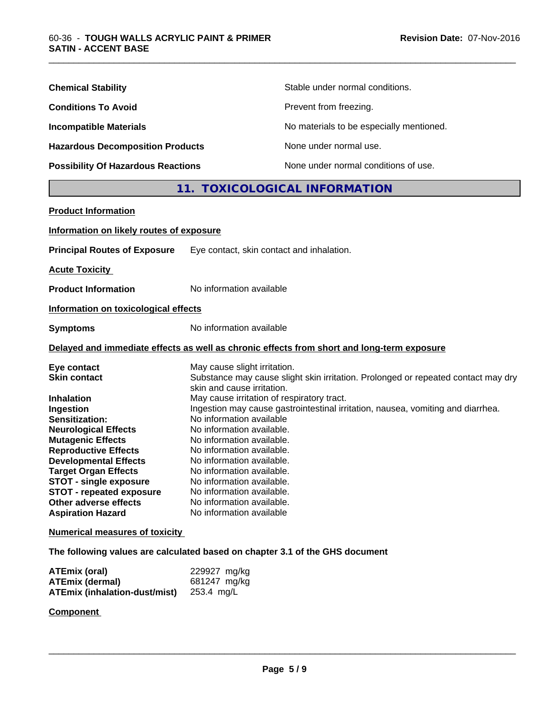| <b>Chemical Stability</b>                 | Stable under normal conditions.          |
|-------------------------------------------|------------------------------------------|
| <b>Conditions To Avoid</b>                | Prevent from freezing.                   |
| <b>Incompatible Materials</b>             | No materials to be especially mentioned. |
| <b>Hazardous Decomposition Products</b>   | None under normal use.                   |
| <b>Possibility Of Hazardous Reactions</b> | None under normal conditions of use.     |

## **11. TOXICOLOGICAL INFORMATION**

\_\_\_\_\_\_\_\_\_\_\_\_\_\_\_\_\_\_\_\_\_\_\_\_\_\_\_\_\_\_\_\_\_\_\_\_\_\_\_\_\_\_\_\_\_\_\_\_\_\_\_\_\_\_\_\_\_\_\_\_\_\_\_\_\_\_\_\_\_\_\_\_\_\_\_\_\_\_\_\_\_\_\_\_\_\_\_\_\_\_\_\_\_

| <b>Product Information</b>                                                                                                                                                                                                                                              |                                                                                                                                                                                                                                                                                                              |
|-------------------------------------------------------------------------------------------------------------------------------------------------------------------------------------------------------------------------------------------------------------------------|--------------------------------------------------------------------------------------------------------------------------------------------------------------------------------------------------------------------------------------------------------------------------------------------------------------|
| Information on likely routes of exposure                                                                                                                                                                                                                                |                                                                                                                                                                                                                                                                                                              |
| <b>Principal Routes of Exposure</b>                                                                                                                                                                                                                                     | Eye contact, skin contact and inhalation.                                                                                                                                                                                                                                                                    |
| <b>Acute Toxicity</b>                                                                                                                                                                                                                                                   |                                                                                                                                                                                                                                                                                                              |
| <b>Product Information</b>                                                                                                                                                                                                                                              | No information available                                                                                                                                                                                                                                                                                     |
| Information on toxicological effects                                                                                                                                                                                                                                    |                                                                                                                                                                                                                                                                                                              |
| <b>Symptoms</b>                                                                                                                                                                                                                                                         | No information available                                                                                                                                                                                                                                                                                     |
|                                                                                                                                                                                                                                                                         | Delayed and immediate effects as well as chronic effects from short and long-term exposure                                                                                                                                                                                                                   |
| Eye contact<br><b>Skin contact</b><br><b>Inhalation</b><br>Ingestion<br>Sensitization:                                                                                                                                                                                  | May cause slight irritation.<br>Substance may cause slight skin irritation. Prolonged or repeated contact may dry<br>skin and cause irritation.<br>May cause irritation of respiratory tract.<br>Ingestion may cause gastrointestinal irritation, nausea, vomiting and diarrhea.<br>No information available |
| <b>Neurological Effects</b><br><b>Mutagenic Effects</b><br><b>Reproductive Effects</b><br><b>Developmental Effects</b><br><b>Target Organ Effects</b><br>STOT - single exposure<br><b>STOT - repeated exposure</b><br>Other adverse effects<br><b>Aspiration Hazard</b> | No information available.<br>No information available.<br>No information available.<br>No information available.<br>No information available.<br>No information available.<br>No information available.<br>No information available.<br>No information available                                             |
| <b>Numerical measures of toxicity</b>                                                                                                                                                                                                                                   |                                                                                                                                                                                                                                                                                                              |
|                                                                                                                                                                                                                                                                         | The following values are calculated based on chapter 3.1 of the GHS document                                                                                                                                                                                                                                 |

| ATEmix (oral)                 | 229927 mg/kg |
|-------------------------------|--------------|
| <b>ATEmix (dermal)</b>        | 681247 mg/kg |
| ATEmix (inhalation-dust/mist) | 253.4 mg/L   |

## **Component**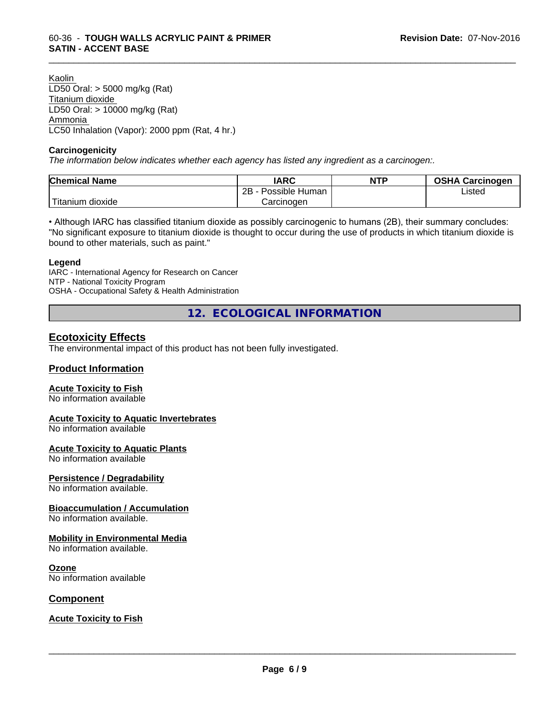Kaolin LD50 Oral: > 5000 mg/kg (Rat) Titanium dioxide LD50 Oral: > 10000 mg/kg (Rat) Ammonia LC50 Inhalation (Vapor): 2000 ppm (Rat, 4 hr.)

#### **Carcinogenicity**

*The information below indicateswhether each agency has listed any ingredient as a carcinogen:.*

| <b>Chemical Name</b> | <b>IARC</b>          | <b>NTP</b> | <b>OSHA Carcinogen</b> |
|----------------------|----------------------|------------|------------------------|
|                      | 2B<br>Possible Human |            | Listed                 |
| .<br>itanium dioxide | Carcinoɑen           |            |                        |

\_\_\_\_\_\_\_\_\_\_\_\_\_\_\_\_\_\_\_\_\_\_\_\_\_\_\_\_\_\_\_\_\_\_\_\_\_\_\_\_\_\_\_\_\_\_\_\_\_\_\_\_\_\_\_\_\_\_\_\_\_\_\_\_\_\_\_\_\_\_\_\_\_\_\_\_\_\_\_\_\_\_\_\_\_\_\_\_\_\_\_\_\_

• Although IARC has classified titanium dioxide as possibly carcinogenic to humans (2B), their summary concludes: "No significant exposure to titanium dioxide is thought to occur during the use of products in which titanium dioxide is bound to other materials, such as paint."

#### **Legend**

IARC - International Agency for Research on Cancer NTP - National Toxicity Program OSHA - Occupational Safety & Health Administration

**12. ECOLOGICAL INFORMATION**

## **Ecotoxicity Effects**

The environmental impact of this product has not been fully investigated.

#### **Product Information**

#### **Acute Toxicity to Fish**

No information available

#### **Acute Toxicity to Aquatic Invertebrates**

No information available

#### **Acute Toxicity to Aquatic Plants**

No information available

#### **Persistence / Degradability**

No information available.

#### **Bioaccumulation / Accumulation**

No information available.

#### **Mobility in Environmental Media**

No information available.

#### **Ozone**

No information available

#### **Component**

#### **Acute Toxicity to Fish**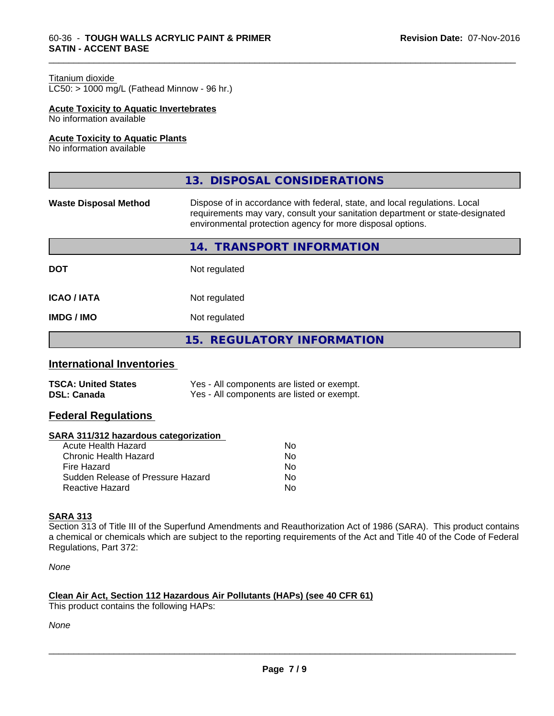#### Titanium dioxide

 $LC50:$  > 1000 mg/L (Fathead Minnow - 96 hr.)

#### **Acute Toxicity to Aquatic Invertebrates**

No information available

#### **Acute Toxicity to Aquatic Plants**

No information available

|                              | 13. DISPOSAL CONSIDERATIONS                                                                                                                                                                                               |
|------------------------------|---------------------------------------------------------------------------------------------------------------------------------------------------------------------------------------------------------------------------|
| <b>Waste Disposal Method</b> | Dispose of in accordance with federal, state, and local regulations. Local<br>requirements may vary, consult your sanitation department or state-designated<br>environmental protection agency for more disposal options. |
|                              | <b>TRANSPORT INFORMATION</b><br>14.                                                                                                                                                                                       |
| <b>DOT</b>                   | Not regulated                                                                                                                                                                                                             |
| <b>ICAO/IATA</b>             | Not regulated                                                                                                                                                                                                             |
| <b>IMDG/IMO</b>              | Not regulated                                                                                                                                                                                                             |
|                              | 15. REGULATORY INFORMATION                                                                                                                                                                                                |

\_\_\_\_\_\_\_\_\_\_\_\_\_\_\_\_\_\_\_\_\_\_\_\_\_\_\_\_\_\_\_\_\_\_\_\_\_\_\_\_\_\_\_\_\_\_\_\_\_\_\_\_\_\_\_\_\_\_\_\_\_\_\_\_\_\_\_\_\_\_\_\_\_\_\_\_\_\_\_\_\_\_\_\_\_\_\_\_\_\_\_\_\_

#### **International Inventories**

| <b>TSCA: United States</b> | Yes - All components are listed or exempt. |
|----------------------------|--------------------------------------------|
| <b>DSL: Canada</b>         | Yes - All components are listed or exempt. |

## **Federal Regulations**

#### **SARA 311/312 hazardous categorization**

| No. |
|-----|
| Nο  |
| No. |
| Nο  |
| N٥  |
|     |

#### **SARA 313**

Section 313 of Title III of the Superfund Amendments and Reauthorization Act of 1986 (SARA). This product contains a chemical or chemicals which are subject to the reporting requirements of the Act and Title 40 of the Code of Federal Regulations, Part 372:

*None*

#### **Clean Air Act,Section 112 Hazardous Air Pollutants (HAPs) (see 40 CFR 61)**

This product contains the following HAPs:

*None*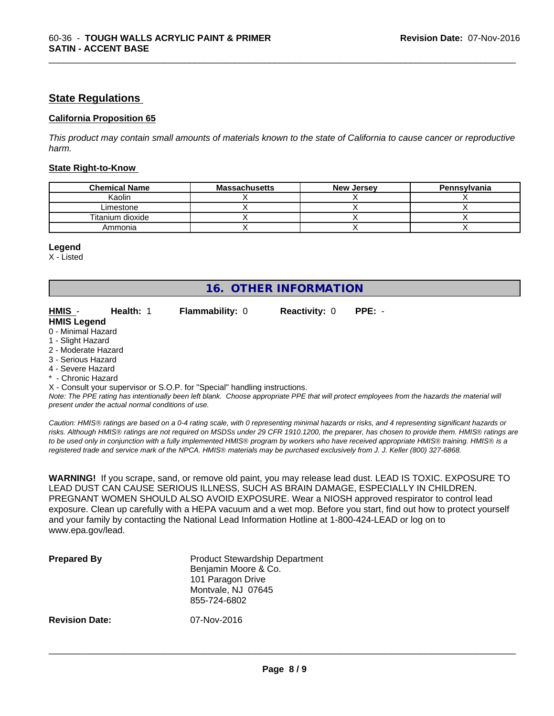### **State Regulations**

#### **California Proposition 65**

This product may contain small amounts of materials known to the state of California to cause cancer or reproductive *harm.*

\_\_\_\_\_\_\_\_\_\_\_\_\_\_\_\_\_\_\_\_\_\_\_\_\_\_\_\_\_\_\_\_\_\_\_\_\_\_\_\_\_\_\_\_\_\_\_\_\_\_\_\_\_\_\_\_\_\_\_\_\_\_\_\_\_\_\_\_\_\_\_\_\_\_\_\_\_\_\_\_\_\_\_\_\_\_\_\_\_\_\_\_\_

#### **State Right-to-Know**

| <b>Chemical Name</b> | <b>Massachusetts</b> | <b>New Jersey</b> | Pennsylvania |
|----------------------|----------------------|-------------------|--------------|
| Kaolin               |                      |                   |              |
| Limestone            |                      |                   |              |
| Titanium dioxide     |                      |                   |              |
| Ammonia              |                      |                   |              |

#### **Legend**

X - Listed

## **16. OTHER INFORMATION**

**HMIS** - **Health:** 1 **Flammability:** 0 **Reactivity:** 0 **PPE:** -

| HMIS -             | <b>Health: 1</b> | <b>Flammability: 0</b> |
|--------------------|------------------|------------------------|
| <b>HMIS Legend</b> |                  |                        |
| 0 - Minimal Hazard |                  |                        |
|                    |                  |                        |

- 1 Slight Hazard
- 2 Moderate Hazard
- 3 Serious Hazard
- 4 Severe Hazard
- Chronic Hazard
- X Consult your supervisor or S.O.P. for "Special" handling instructions.

*Note: The PPE rating has intentionally been left blank. Choose appropriate PPE that will protect employees from the hazards the material will present under the actual normal conditions of use.*

*Caution: HMISÒ ratings are based on a 0-4 rating scale, with 0 representing minimal hazards or risks, and 4 representing significant hazards or risks. Although HMISÒ ratings are not required on MSDSs under 29 CFR 1910.1200, the preparer, has chosen to provide them. HMISÒ ratings are to be used only in conjunction with a fully implemented HMISÒ program by workers who have received appropriate HMISÒ training. HMISÒ is a registered trade and service mark of the NPCA. HMISÒ materials may be purchased exclusively from J. J. Keller (800) 327-6868.*

**WARNING!** If you scrape, sand, or remove old paint, you may release lead dust. LEAD IS TOXIC. EXPOSURE TO LEAD DUST CAN CAUSE SERIOUS ILLNESS, SUCH AS BRAIN DAMAGE, ESPECIALLY IN CHILDREN. PREGNANT WOMEN SHOULD ALSO AVOID EXPOSURE.Wear a NIOSH approved respirator to control lead exposure. Clean up carefully with a HEPA vacuum and a wet mop. Before you start, find out how to protect yourself and your family by contacting the National Lead Information Hotline at 1-800-424-LEAD or log on to www.epa.gov/lead.

| <b>Prepared By</b>    | <b>Product Stewardship Department</b><br>Benjamin Moore & Co.<br>101 Paragon Drive<br>Montvale, NJ 07645<br>855-724-6802 |  |
|-----------------------|--------------------------------------------------------------------------------------------------------------------------|--|
| <b>Revision Date:</b> | 07-Nov-2016                                                                                                              |  |